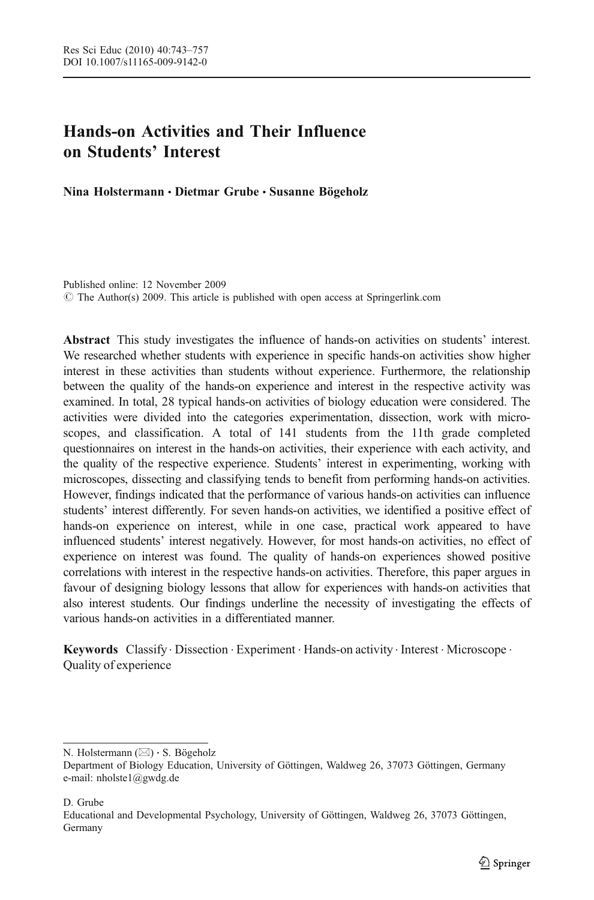# Hands-on Activities and Their Influence on Students' Interest

Nina Holstermann · Dietmar Grube · Susanne Bögeholz

Published online: 12 November 2009  $\circ$  The Author(s) 2009. This article is published with open access at Springerlink.com

Abstract This study investigates the influence of hands-on activities on students' interest. We researched whether students with experience in specific hands-on activities show higher interest in these activities than students without experience. Furthermore, the relationship between the quality of the hands-on experience and interest in the respective activity was examined. In total, 28 typical hands-on activities of biology education were considered. The activities were divided into the categories experimentation, dissection, work with microscopes, and classification. A total of 141 students from the 11th grade completed questionnaires on interest in the hands-on activities, their experience with each activity, and the quality of the respective experience. Students' interest in experimenting, working with microscopes, dissecting and classifying tends to benefit from performing hands-on activities. However, findings indicated that the performance of various hands-on activities can influence students' interest differently. For seven hands-on activities, we identified a positive effect of hands-on experience on interest, while in one case, practical work appeared to have influenced students' interest negatively. However, for most hands-on activities, no effect of experience on interest was found. The quality of hands-on experiences showed positive correlations with interest in the respective hands-on activities. Therefore, this paper argues in favour of designing biology lessons that allow for experiences with hands-on activities that also interest students. Our findings underline the necessity of investigating the effects of various hands-on activities in a differentiated manner.

Keywords Classify . Dissection . Experiment . Hands-on activity . Interest . Microscope . Quality of experience

D. Grube

N. Holstermann  $(\boxtimes) \cdot$  S. Bögeholz

Department of Biology Education, University of Göttingen, Waldweg 26, 37073 Göttingen, Germany e-mail: nholste1@gwdg.de

Educational and Developmental Psychology, University of Göttingen, Waldweg 26, 37073 Göttingen, Germany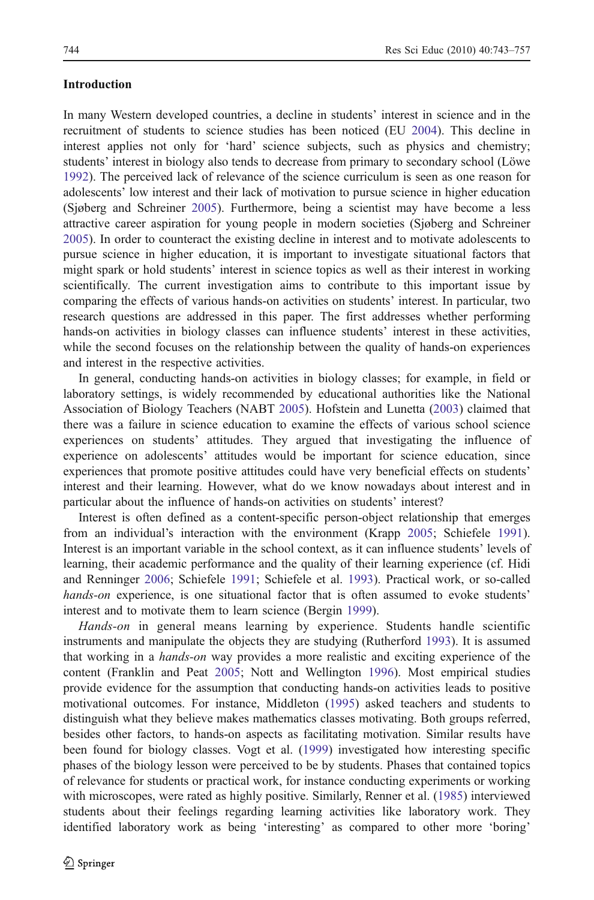#### Introduction

In many Western developed countries, a decline in students' interest in science and in the recruitment of students to science studies has been noticed (EU [2004\)](#page-13-0). This decline in interest applies not only for 'hard' science subjects, such as physics and chemistry; students' interest in biology also tends to decrease from primary to secondary school (Löwe [1992\)](#page-13-0). The perceived lack of relevance of the science curriculum is seen as one reason for adolescents' low interest and their lack of motivation to pursue science in higher education (Sjøberg and Schreiner [2005\)](#page-14-0). Furthermore, being a scientist may have become a less attractive career aspiration for young people in modern societies (Sjøberg and Schreiner [2005\)](#page-14-0). In order to counteract the existing decline in interest and to motivate adolescents to pursue science in higher education, it is important to investigate situational factors that might spark or hold students' interest in science topics as well as their interest in working scientifically. The current investigation aims to contribute to this important issue by comparing the effects of various hands-on activities on students' interest. In particular, two research questions are addressed in this paper. The first addresses whether performing hands-on activities in biology classes can influence students' interest in these activities, while the second focuses on the relationship between the quality of hands-on experiences and interest in the respective activities.

In general, conducting hands-on activities in biology classes; for example, in field or laboratory settings, is widely recommended by educational authorities like the National Association of Biology Teachers (NABT [2005](#page-13-0)). Hofstein and Lunetta ([2003\)](#page-13-0) claimed that there was a failure in science education to examine the effects of various school science experiences on students' attitudes. They argued that investigating the influence of experience on adolescents' attitudes would be important for science education, since experiences that promote positive attitudes could have very beneficial effects on students' interest and their learning. However, what do we know nowadays about interest and in particular about the influence of hands-on activities on students' interest?

Interest is often defined as a content-specific person-object relationship that emerges from an individual's interaction with the environment (Krapp [2005;](#page-13-0) Schiefele [1991](#page-13-0)). Interest is an important variable in the school context, as it can influence students' levels of learning, their academic performance and the quality of their learning experience (cf. Hidi and Renninger [2006;](#page-13-0) Schiefele [1991;](#page-13-0) Schiefele et al. [1993](#page-14-0)). Practical work, or so-called hands-on experience, is one situational factor that is often assumed to evoke students' interest and to motivate them to learn science (Bergin [1999](#page-13-0)).

Hands-on in general means learning by experience. Students handle scientific instruments and manipulate the objects they are studying (Rutherford [1993\)](#page-13-0). It is assumed that working in a hands-on way provides a more realistic and exciting experience of the content (Franklin and Peat [2005](#page-13-0); Nott and Wellington [1996](#page-13-0)). Most empirical studies provide evidence for the assumption that conducting hands-on activities leads to positive motivational outcomes. For instance, Middleton ([1995\)](#page-13-0) asked teachers and students to distinguish what they believe makes mathematics classes motivating. Both groups referred, besides other factors, to hands-on aspects as facilitating motivation. Similar results have been found for biology classes. Vogt et al. [\(1999](#page-14-0)) investigated how interesting specific phases of the biology lesson were perceived to be by students. Phases that contained topics of relevance for students or practical work, for instance conducting experiments or working with microscopes, were rated as highly positive. Similarly, Renner et al. ([1985\)](#page-13-0) interviewed students about their feelings regarding learning activities like laboratory work. They identified laboratory work as being 'interesting' as compared to other more 'boring'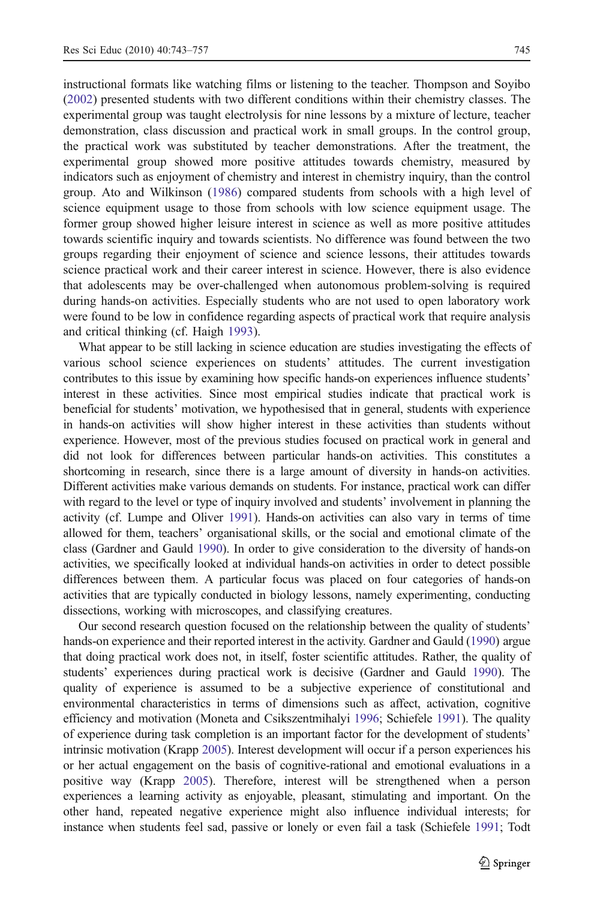instructional formats like watching films or listening to the teacher. Thompson and Soyibo ([2002\)](#page-14-0) presented students with two different conditions within their chemistry classes. The experimental group was taught electrolysis for nine lessons by a mixture of lecture, teacher demonstration, class discussion and practical work in small groups. In the control group, the practical work was substituted by teacher demonstrations. After the treatment, the experimental group showed more positive attitudes towards chemistry, measured by indicators such as enjoyment of chemistry and interest in chemistry inquiry, than the control group. Ato and Wilkinson ([1986\)](#page-13-0) compared students from schools with a high level of science equipment usage to those from schools with low science equipment usage. The former group showed higher leisure interest in science as well as more positive attitudes towards scientific inquiry and towards scientists. No difference was found between the two groups regarding their enjoyment of science and science lessons, their attitudes towards science practical work and their career interest in science. However, there is also evidence that adolescents may be over-challenged when autonomous problem-solving is required during hands-on activities. Especially students who are not used to open laboratory work were found to be low in confidence regarding aspects of practical work that require analysis and critical thinking (cf. Haigh [1993\)](#page-13-0).

What appear to be still lacking in science education are studies investigating the effects of various school science experiences on students' attitudes. The current investigation contributes to this issue by examining how specific hands-on experiences influence students' interest in these activities. Since most empirical studies indicate that practical work is beneficial for students' motivation, we hypothesised that in general, students with experience in hands-on activities will show higher interest in these activities than students without experience. However, most of the previous studies focused on practical work in general and did not look for differences between particular hands-on activities. This constitutes a shortcoming in research, since there is a large amount of diversity in hands-on activities. Different activities make various demands on students. For instance, practical work can differ with regard to the level or type of inquiry involved and students' involvement in planning the activity (cf. Lumpe and Oliver [1991\)](#page-13-0). Hands-on activities can also vary in terms of time allowed for them, teachers' organisational skills, or the social and emotional climate of the class (Gardner and Gauld [1990\)](#page-13-0). In order to give consideration to the diversity of hands-on activities, we specifically looked at individual hands-on activities in order to detect possible differences between them. A particular focus was placed on four categories of hands-on activities that are typically conducted in biology lessons, namely experimenting, conducting dissections, working with microscopes, and classifying creatures.

Our second research question focused on the relationship between the quality of students' hands-on experience and their reported interest in the activity. Gardner and Gauld [\(1990\)](#page-13-0) argue that doing practical work does not, in itself, foster scientific attitudes. Rather, the quality of students' experiences during practical work is decisive (Gardner and Gauld [1990](#page-13-0)). The quality of experience is assumed to be a subjective experience of constitutional and environmental characteristics in terms of dimensions such as affect, activation, cognitive efficiency and motivation (Moneta and Csikszentmihalyi [1996;](#page-13-0) Schiefele [1991\)](#page-13-0). The quality of experience during task completion is an important factor for the development of students' intrinsic motivation (Krapp [2005](#page-13-0)). Interest development will occur if a person experiences his or her actual engagement on the basis of cognitive-rational and emotional evaluations in a positive way (Krapp [2005](#page-13-0)). Therefore, interest will be strengthened when a person experiences a learning activity as enjoyable, pleasant, stimulating and important. On the other hand, repeated negative experience might also influence individual interests; for instance when students feel sad, passive or lonely or even fail a task (Schiefele [1991;](#page-13-0) Todt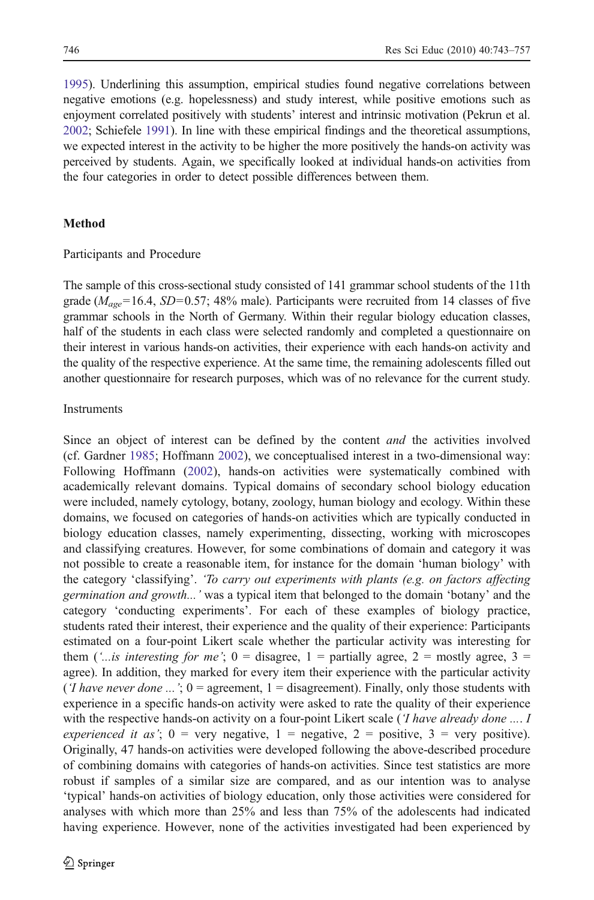[1995](#page-14-0)). Underlining this assumption, empirical studies found negative correlations between negative emotions (e.g. hopelessness) and study interest, while positive emotions such as enjoyment correlated positively with students' interest and intrinsic motivation (Pekrun et al. [2002](#page-13-0); Schiefele [1991](#page-13-0)). In line with these empirical findings and the theoretical assumptions, we expected interest in the activity to be higher the more positively the hands-on activity was perceived by students. Again, we specifically looked at individual hands-on activities from the four categories in order to detect possible differences between them.

### Method

#### Participants and Procedure

The sample of this cross-sectional study consisted of 141 grammar school students of the 11th grade ( $M_{\text{ave}}$ =16.4, SD=0.57; 48% male). Participants were recruited from 14 classes of five grammar schools in the North of Germany. Within their regular biology education classes, half of the students in each class were selected randomly and completed a questionnaire on their interest in various hands-on activities, their experience with each hands-on activity and the quality of the respective experience. At the same time, the remaining adolescents filled out another questionnaire for research purposes, which was of no relevance for the current study.

#### **Instruments**

Since an object of interest can be defined by the content *and* the activities involved (cf. Gardner [1985;](#page-13-0) Hoffmann [2002](#page-13-0)), we conceptualised interest in a two-dimensional way: Following Hoffmann ([2002\)](#page-13-0), hands-on activities were systematically combined with academically relevant domains. Typical domains of secondary school biology education were included, namely cytology, botany, zoology, human biology and ecology. Within these domains, we focused on categories of hands-on activities which are typically conducted in biology education classes, namely experimenting, dissecting, working with microscopes and classifying creatures. However, for some combinations of domain and category it was not possible to create a reasonable item, for instance for the domain 'human biology' with the category 'classifying'. 'To carry out experiments with plants (e.g. on factors affecting germination and growth...' was a typical item that belonged to the domain 'botany' and the category 'conducting experiments'. For each of these examples of biology practice, students rated their interest, their experience and the quality of their experience: Participants estimated on a four-point Likert scale whether the particular activity was interesting for them ('...is interesting for me';  $0 =$  disagree,  $1 =$  partially agree,  $2 =$  mostly agree,  $3 =$ agree). In addition, they marked for every item their experience with the particular activity (*T* have never done ...  $\cdot$ ; 0 = agreement, 1 = disagreement). Finally, only those students with experience in a specific hands-on activity were asked to rate the quality of their experience with the respective hands-on activity on a four-point Likert scale  $(T \text{ have already done} \dots I)$ experienced it as';  $0 = \text{very negative}, 1 = \text{negative}, 2 = \text{positive}, 3 = \text{very positive}.$ Originally, 47 hands-on activities were developed following the above-described procedure of combining domains with categories of hands-on activities. Since test statistics are more robust if samples of a similar size are compared, and as our intention was to analyse 'typical' hands-on activities of biology education, only those activities were considered for analyses with which more than 25% and less than 75% of the adolescents had indicated having experience. However, none of the activities investigated had been experienced by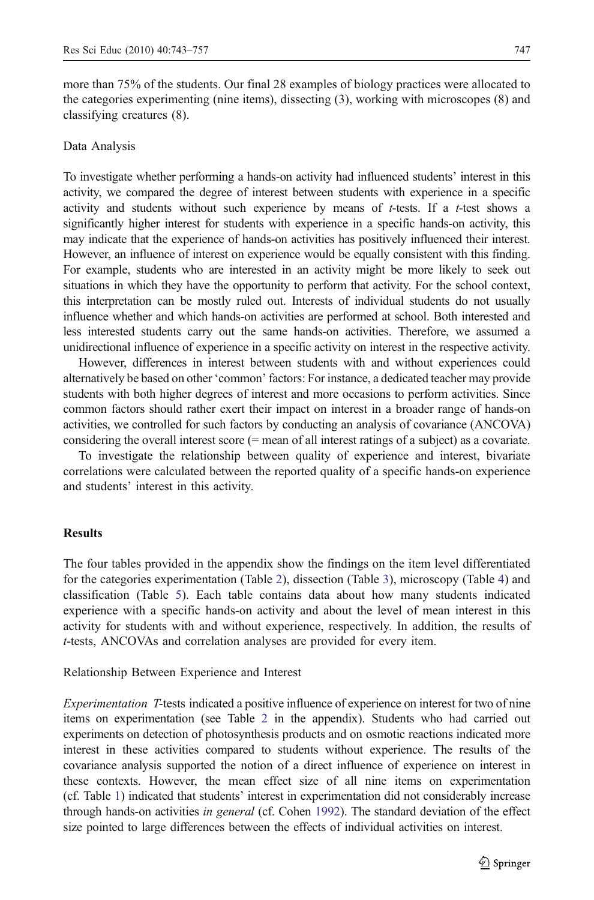more than 75% of the students. Our final 28 examples of biology practices were allocated to the categories experimenting (nine items), dissecting (3), working with microscopes (8) and classifying creatures (8).

#### Data Analysis

To investigate whether performing a hands-on activity had influenced students' interest in this activity, we compared the degree of interest between students with experience in a specific activity and students without such experience by means of  $t$ -tests. If a  $t$ -test shows a significantly higher interest for students with experience in a specific hands-on activity, this may indicate that the experience of hands-on activities has positively influenced their interest. However, an influence of interest on experience would be equally consistent with this finding. For example, students who are interested in an activity might be more likely to seek out situations in which they have the opportunity to perform that activity. For the school context, this interpretation can be mostly ruled out. Interests of individual students do not usually influence whether and which hands-on activities are performed at school. Both interested and less interested students carry out the same hands-on activities. Therefore, we assumed a unidirectional influence of experience in a specific activity on interest in the respective activity.

However, differences in interest between students with and without experiences could alternatively be based on other 'common' factors: For instance, a dedicated teacher may provide students with both higher degrees of interest and more occasions to perform activities. Since common factors should rather exert their impact on interest in a broader range of hands-on activities, we controlled for such factors by conducting an analysis of covariance (ANCOVA) considering the overall interest score (= mean of all interest ratings of a subject) as a covariate.

To investigate the relationship between quality of experience and interest, bivariate correlations were calculated between the reported quality of a specific hands-on experience and students' interest in this activity.

#### **Results**

The four tables provided in the appendix show the findings on the item level differentiated for the categories experimentation (Table [2\)](#page-9-0), dissection (Table [3](#page-10-0)), microscopy (Table [4](#page-11-0)) and classification (Table [5\)](#page-12-0). Each table contains data about how many students indicated experience with a specific hands-on activity and about the level of mean interest in this activity for students with and without experience, respectively. In addition, the results of t-tests, ANCOVAs and correlation analyses are provided for every item.

Relationship Between Experience and Interest

Experimentation T-tests indicated a positive influence of experience on interest for two of nine items on experimentation (see Table [2](#page-9-0) in the appendix). Students who had carried out experiments on detection of photosynthesis products and on osmotic reactions indicated more interest in these activities compared to students without experience. The results of the covariance analysis supported the notion of a direct influence of experience on interest in these contexts. However, the mean effect size of all nine items on experimentation (cf. Table [1](#page-5-0)) indicated that students' interest in experimentation did not considerably increase through hands-on activities in general (cf. Cohen [1992\)](#page-13-0). The standard deviation of the effect size pointed to large differences between the effects of individual activities on interest.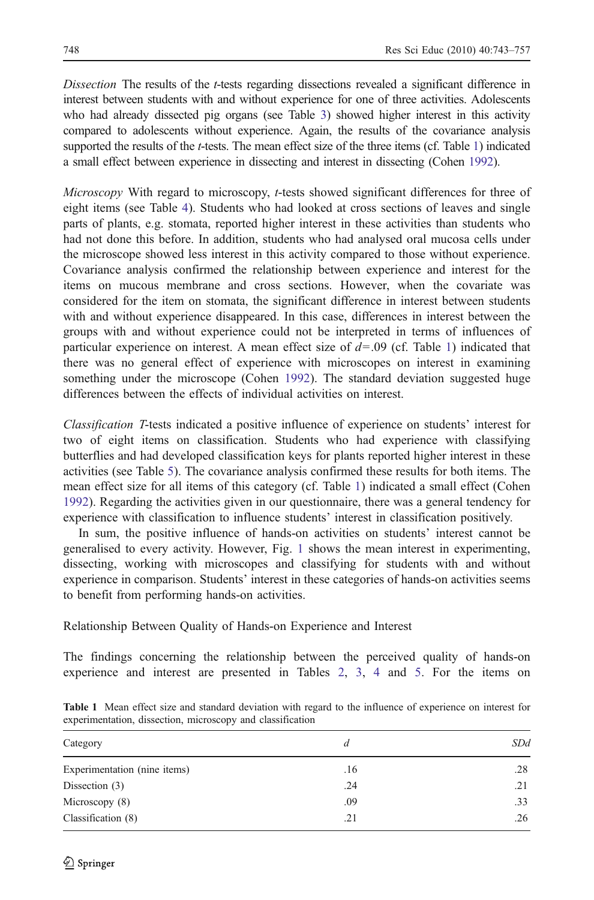<span id="page-5-0"></span>Dissection The results of the *t*-tests regarding dissections revealed a significant difference in interest between students with and without experience for one of three activities. Adolescents who had already dissected pig organs (see Table [3\)](#page-10-0) showed higher interest in this activity compared to adolescents without experience. Again, the results of the covariance analysis supported the results of the t-tests. The mean effect size of the three items (cf. Table 1) indicated a small effect between experience in dissecting and interest in dissecting (Cohen [1992](#page-13-0)).

Microscopy With regard to microscopy, t-tests showed significant differences for three of eight items (see Table [4](#page-11-0)). Students who had looked at cross sections of leaves and single parts of plants, e.g. stomata, reported higher interest in these activities than students who had not done this before. In addition, students who had analysed oral mucosa cells under the microscope showed less interest in this activity compared to those without experience. Covariance analysis confirmed the relationship between experience and interest for the items on mucous membrane and cross sections. However, when the covariate was considered for the item on stomata, the significant difference in interest between students with and without experience disappeared. In this case, differences in interest between the groups with and without experience could not be interpreted in terms of influences of particular experience on interest. A mean effect size of  $d=0.09$  (cf. Table 1) indicated that there was no general effect of experience with microscopes on interest in examining something under the microscope (Cohen [1992\)](#page-13-0). The standard deviation suggested huge differences between the effects of individual activities on interest.

Classification T-tests indicated a positive influence of experience on students' interest for two of eight items on classification. Students who had experience with classifying butterflies and had developed classification keys for plants reported higher interest in these activities (see Table [5\)](#page-12-0). The covariance analysis confirmed these results for both items. The mean effect size for all items of this category (cf. Table 1) indicated a small effect (Cohen [1992\)](#page-13-0). Regarding the activities given in our questionnaire, there was a general tendency for experience with classification to influence students' interest in classification positively.

In sum, the positive influence of hands-on activities on students' interest cannot be generalised to every activity. However, Fig. [1](#page-6-0) shows the mean interest in experimenting, dissecting, working with microscopes and classifying for students with and without experience in comparison. Students' interest in these categories of hands-on activities seems to benefit from performing hands-on activities.

Relationship Between Quality of Hands-on Experience and Interest

The findings concerning the relationship between the perceived quality of hands-on experience and interest are presented in Tables [2](#page-9-0), [3](#page-10-0), [4](#page-11-0) and [5.](#page-12-0) For the items on

Table 1 Mean effect size and standard deviation with regard to the influence of experience on interest for experimentation, dissection, microscopy and classification

| Category                     |     | <i>SDd</i> |
|------------------------------|-----|------------|
| Experimentation (nine items) | .16 | .28        |
| Dissection $(3)$             | .24 | .21        |
| Microscopy $(8)$             | .09 | .33        |
| Classification (8)           | .21 | .26        |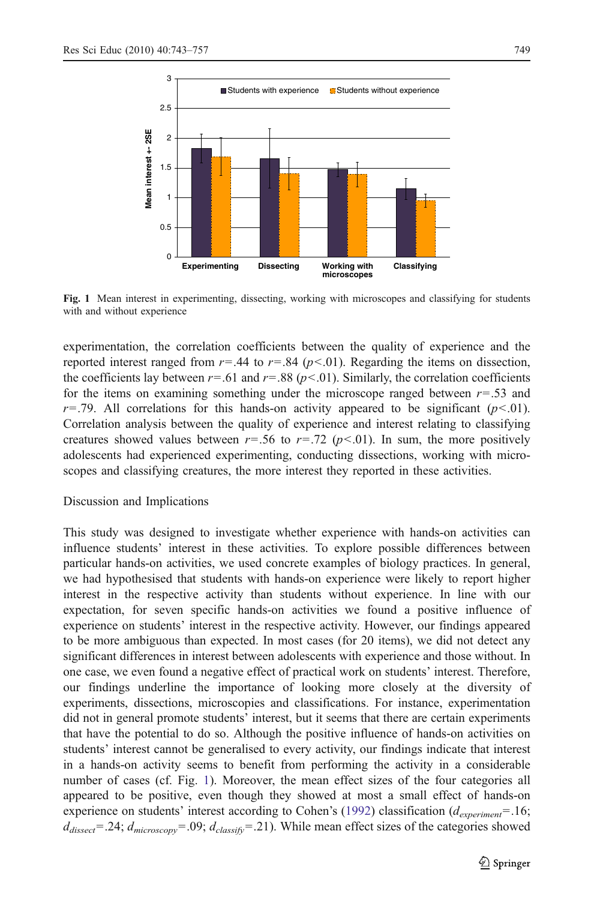<span id="page-6-0"></span>

Fig. 1 Mean interest in experimenting, dissecting, working with microscopes and classifying for students with and without experience

experimentation, the correlation coefficients between the quality of experience and the reported interest ranged from  $r = .44$  to  $r = .84$  ( $p < .01$ ). Regarding the items on dissection, the coefficients lay between  $r=0.61$  and  $r=.88$  ( $p<0.01$ ). Similarly, the correlation coefficients for the items on examining something under the microscope ranged between  $r = .53$  and  $r = .79$ . All correlations for this hands-on activity appeared to be significant ( $p < .01$ ). Correlation analysis between the quality of experience and interest relating to classifying creatures showed values between  $r=.56$  to  $r=.72$  ( $p<.01$ ). In sum, the more positively adolescents had experienced experimenting, conducting dissections, working with microscopes and classifying creatures, the more interest they reported in these activities.

## Discussion and Implications

This study was designed to investigate whether experience with hands-on activities can influence students' interest in these activities. To explore possible differences between particular hands-on activities, we used concrete examples of biology practices. In general, we had hypothesised that students with hands-on experience were likely to report higher interest in the respective activity than students without experience. In line with our expectation, for seven specific hands-on activities we found a positive influence of experience on students' interest in the respective activity. However, our findings appeared to be more ambiguous than expected. In most cases (for 20 items), we did not detect any significant differences in interest between adolescents with experience and those without. In one case, we even found a negative effect of practical work on students' interest. Therefore, our findings underline the importance of looking more closely at the diversity of experiments, dissections, microscopies and classifications. For instance, experimentation did not in general promote students' interest, but it seems that there are certain experiments that have the potential to do so. Although the positive influence of hands-on activities on students' interest cannot be generalised to every activity, our findings indicate that interest in a hands-on activity seems to benefit from performing the activity in a considerable number of cases (cf. Fig. 1). Moreover, the mean effect sizes of the four categories all appeared to be positive, even though they showed at most a small effect of hands-on experience on students' interest according to Cohen's ([1992\)](#page-13-0) classification ( $d_{experiment}$ =.16;  $d_{dissect}$ =.24;  $d_{microscopy}$ =.09;  $d_{classify}$ =.21). While mean effect sizes of the categories showed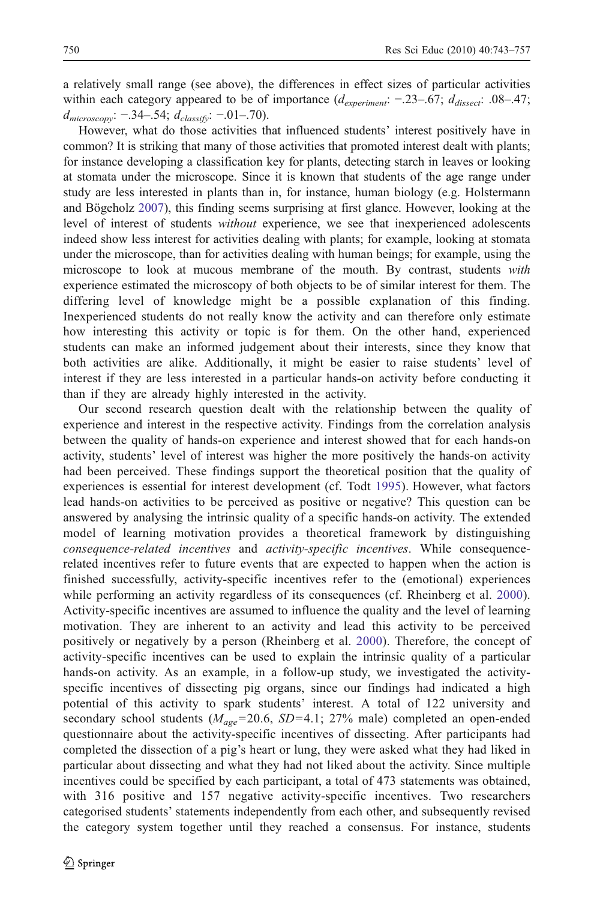a relatively small range (see above), the differences in effect sizes of particular activities within each category appeared to be of importance  $(d_{experiment}: -23-67; d_{dissect}: .08-.47;$  $d_{microscopy}$ : −.34–.54;  $d_{classifi}$ : −.01–.70).

However, what do those activities that influenced students' interest positively have in common? It is striking that many of those activities that promoted interest dealt with plants; for instance developing a classification key for plants, detecting starch in leaves or looking at stomata under the microscope. Since it is known that students of the age range under study are less interested in plants than in, for instance, human biology (e.g. Holstermann and Bögeholz [2007](#page-13-0)), this finding seems surprising at first glance. However, looking at the level of interest of students without experience, we see that inexperienced adolescents indeed show less interest for activities dealing with plants; for example, looking at stomata under the microscope, than for activities dealing with human beings; for example, using the microscope to look at mucous membrane of the mouth. By contrast, students with experience estimated the microscopy of both objects to be of similar interest for them. The differing level of knowledge might be a possible explanation of this finding. Inexperienced students do not really know the activity and can therefore only estimate how interesting this activity or topic is for them. On the other hand, experienced students can make an informed judgement about their interests, since they know that both activities are alike. Additionally, it might be easier to raise students' level of interest if they are less interested in a particular hands-on activity before conducting it than if they are already highly interested in the activity.

Our second research question dealt with the relationship between the quality of experience and interest in the respective activity. Findings from the correlation analysis between the quality of hands-on experience and interest showed that for each hands-on activity, students' level of interest was higher the more positively the hands-on activity had been perceived. These findings support the theoretical position that the quality of experiences is essential for interest development (cf. Todt [1995](#page-14-0)). However, what factors lead hands-on activities to be perceived as positive or negative? This question can be answered by analysing the intrinsic quality of a specific hands-on activity. The extended model of learning motivation provides a theoretical framework by distinguishing consequence-related incentives and activity-specific incentives. While consequencerelated incentives refer to future events that are expected to happen when the action is finished successfully, activity-specific incentives refer to the (emotional) experiences while performing an activity regardless of its consequences (cf. Rheinberg et al. [2000](#page-13-0)). Activity-specific incentives are assumed to influence the quality and the level of learning motivation. They are inherent to an activity and lead this activity to be perceived positively or negatively by a person (Rheinberg et al. [2000](#page-13-0)). Therefore, the concept of activity-specific incentives can be used to explain the intrinsic quality of a particular hands-on activity. As an example, in a follow-up study, we investigated the activityspecific incentives of dissecting pig organs, since our findings had indicated a high potential of this activity to spark students' interest. A total of 122 university and secondary school students ( $M_{age}$ =20.6, SD=4.1; 27% male) completed an open-ended questionnaire about the activity-specific incentives of dissecting. After participants had completed the dissection of a pig's heart or lung, they were asked what they had liked in particular about dissecting and what they had not liked about the activity. Since multiple incentives could be specified by each participant, a total of 473 statements was obtained, with 316 positive and 157 negative activity-specific incentives. Two researchers categorised students' statements independently from each other, and subsequently revised the category system together until they reached a consensus. For instance, students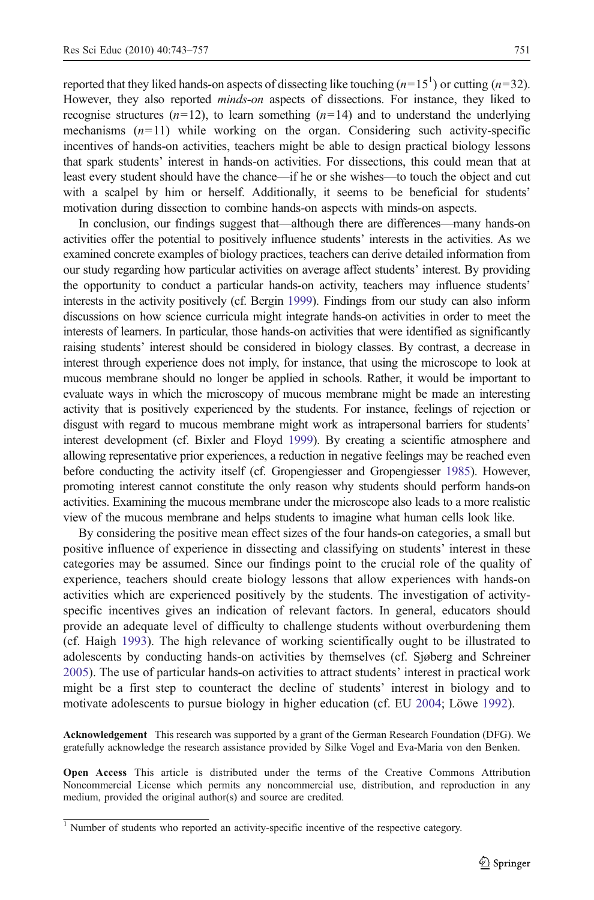reported that they liked hands-on aspects of dissecting like touching  $(n=15^1)$  or cutting  $(n=32)$ . However, they also reported minds-on aspects of dissections. For instance, they liked to recognise structures  $(n=12)$ , to learn something  $(n=14)$  and to understand the underlying mechanisms  $(n=11)$  while working on the organ. Considering such activity-specific

incentives of hands-on activities, teachers might be able to design practical biology lessons that spark students' interest in hands-on activities. For dissections, this could mean that at least every student should have the chance—if he or she wishes—to touch the object and cut with a scalpel by him or herself. Additionally, it seems to be beneficial for students' motivation during dissection to combine hands-on aspects with minds-on aspects.

In conclusion, our findings suggest that—although there are differences—many hands-on activities offer the potential to positively influence students' interests in the activities. As we examined concrete examples of biology practices, teachers can derive detailed information from our study regarding how particular activities on average affect students' interest. By providing the opportunity to conduct a particular hands-on activity, teachers may influence students' interests in the activity positively (cf. Bergin [1999](#page-13-0)). Findings from our study can also inform discussions on how science curricula might integrate hands-on activities in order to meet the interests of learners. In particular, those hands-on activities that were identified as significantly raising students' interest should be considered in biology classes. By contrast, a decrease in interest through experience does not imply, for instance, that using the microscope to look at mucous membrane should no longer be applied in schools. Rather, it would be important to evaluate ways in which the microscopy of mucous membrane might be made an interesting activity that is positively experienced by the students. For instance, feelings of rejection or disgust with regard to mucous membrane might work as intrapersonal barriers for students' interest development (cf. Bixler and Floyd [1999\)](#page-13-0). By creating a scientific atmosphere and allowing representative prior experiences, a reduction in negative feelings may be reached even before conducting the activity itself (cf. Gropengiesser and Gropengiesser [1985](#page-13-0)). However, promoting interest cannot constitute the only reason why students should perform hands-on activities. Examining the mucous membrane under the microscope also leads to a more realistic view of the mucous membrane and helps students to imagine what human cells look like.

By considering the positive mean effect sizes of the four hands-on categories, a small but positive influence of experience in dissecting and classifying on students' interest in these categories may be assumed. Since our findings point to the crucial role of the quality of experience, teachers should create biology lessons that allow experiences with hands-on activities which are experienced positively by the students. The investigation of activityspecific incentives gives an indication of relevant factors. In general, educators should provide an adequate level of difficulty to challenge students without overburdening them (cf. Haigh [1993\)](#page-13-0). The high relevance of working scientifically ought to be illustrated to adolescents by conducting hands-on activities by themselves (cf. Sjøberg and Schreiner [2005\)](#page-14-0). The use of particular hands-on activities to attract students' interest in practical work might be a first step to counteract the decline of students' interest in biology and to motivate adolescents to pursue biology in higher education (cf. EU [2004;](#page-13-0) Löwe [1992\)](#page-13-0).

Acknowledgement This research was supported by a grant of the German Research Foundation (DFG). We gratefully acknowledge the research assistance provided by Silke Vogel and Eva-Maria von den Benken.

Open Access This article is distributed under the terms of the Creative Commons Attribution Noncommercial License which permits any noncommercial use, distribution, and reproduction in any medium, provided the original author(s) and source are credited.

<sup>&</sup>lt;sup>1</sup> Number of students who reported an activity-specific incentive of the respective category.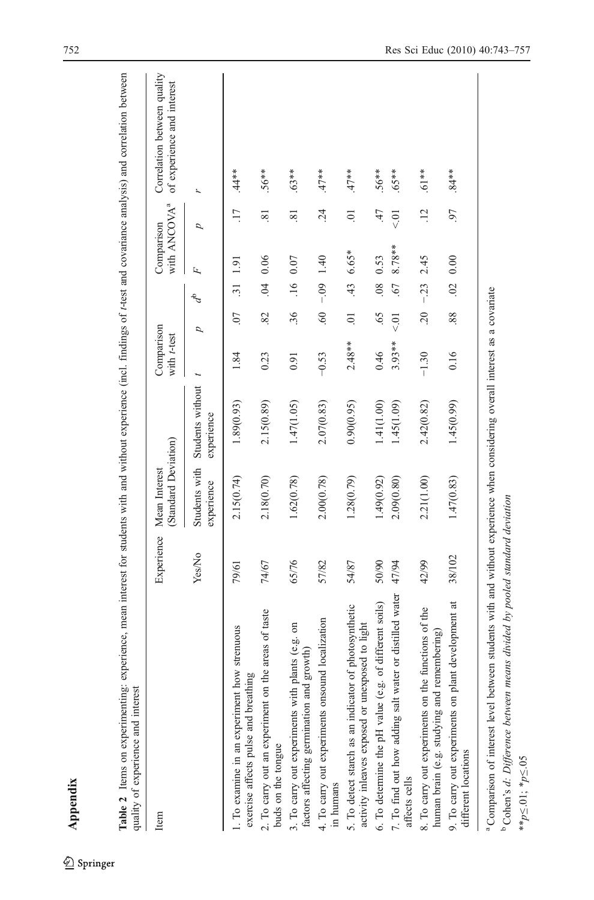<span id="page-9-0"></span>

| Item                                                                                                     | Experience | (Standard Deviation)<br>Mean Interest |                                | Comparison<br>with t-test |                     |                 | with ANCOVA <sup>a</sup><br>Comparison |                 | Correlation between quality<br>of experience and interest |
|----------------------------------------------------------------------------------------------------------|------------|---------------------------------------|--------------------------------|---------------------------|---------------------|-----------------|----------------------------------------|-----------------|-----------------------------------------------------------|
|                                                                                                          | Yes/No     | Students with<br>experience           | Students without<br>experience |                           | p                   | of              | Ŀ                                      | p               | r.                                                        |
| strenuous<br>I. To examine in an experiment how<br>exercise affects pulse and breathing                  | 79/61      | 2.15(0.74)                            | 1.89(0.93)                     | 1.84                      | $\overline{C}$      | $31 \t1.91$     |                                        | $\overline{17}$ | $44*$                                                     |
| areas of taste<br>2. To carry out an experiment on the<br>buds on the tongue                             | 74/67      | 2.18(0.70)                            | 2.15(0.89)                     | 0.23                      | 82                  | S.              | 0.06                                   | $\overline{8}$  | $.56**$                                                   |
| 3. To carry out experiments with plants (e.g. on<br>factors affecting germination and growth)            | 65/76      | 1.62(0.78)                            | 1.47(1.05)                     | 0.91                      | 36                  | $\frac{16}{1}$  | 0.07                                   | $\overline{8}$  | $.63**$                                                   |
| 4. To carry out experiments onsound localization<br>in humans                                            | 57/82      | 2.00(0.78)                            | 2.07(0.83)                     | $-0.53$                   | $\ddot{\mathrm{6}}$ | $-0.9$          | 1.40                                   | $\ddot{c}$      | $.47**$                                                   |
| 5. To detect starch as an indicator of photosynthetic<br>activity inleaves exposed or unexposed to light | 54/87      | 1.28(0.79)                            | 0.90(0.95)                     | $2.48**$                  | $\overline{0}$      | $\ddot{4}$      | $6.65*$                                | Ξ.              | $.47**$                                                   |
| of different soils)<br>6. To determine the pH value (e.g.                                                | 50/90      | 1.49(0.92)                            | 1.41(1.00)                     | 0.46                      | 65                  | $\overline{08}$ | 0.53                                   | 47              | $.56**$                                                   |
| 7. To find out how adding salt water or distilled water<br>affects cells                                 | 47/94      | 2.09(0.80)                            | 1.45(1.09)                     | $3.93**$                  | $\frac{1}{2}$       | 67              | 8.78**                                 | $\frac{1}{2}$   | $65**$                                                    |
| 8. To carry out experiments on the functions of the<br>human brain (e.g. studying and remembering)       | 42/99      | 2.21(1.00)                            | 2.42(0.82)                     | $-1.30$                   | 20                  | $-23$           | 2.45                                   | $\ddot{c}$      | $.61**$                                                   |
| 9. To carry out experiments on plant development at<br>different locations                               | 38/102     | 1.47(0.83)                            | 1.45(0.99)                     | 0.16                      | 88.                 | $\ddot{\circ}$  | 0.00                                   | 50              | $.84**$                                                   |
|                                                                                                          |            |                                       |                                |                           |                     |                 |                                        |                 |                                                           |

Appendix

<sup>a</sup> Comparison of interest level between students with and without experience when considering overall interest as a covariate Comparison of interest level between students with and without experience when considering overall interest as a covariate <sup>b</sup> Cohen's d: Difference between means divided by pooled standard deviation b Cohen's d: Difference between means divided by pooled standard deviation

 $* p {\leq .01}; * p {\leq .05}$ \*\*p≤.01; \*p≤.05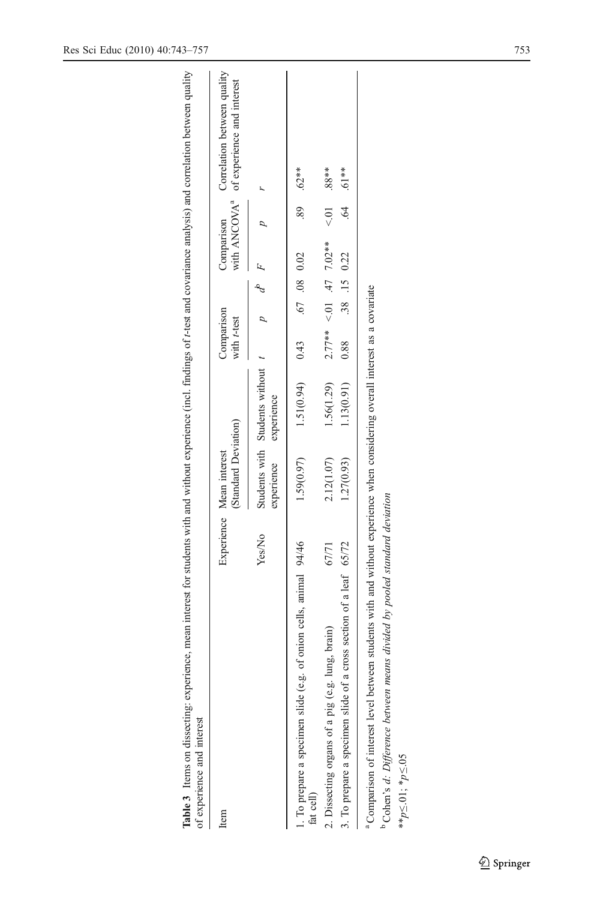| of experience and interest                                                                                                                                                                             |        |                                                  |                                              |                           |                    |                |                                                                                    |
|--------------------------------------------------------------------------------------------------------------------------------------------------------------------------------------------------------|--------|--------------------------------------------------|----------------------------------------------|---------------------------|--------------------|----------------|------------------------------------------------------------------------------------|
| ltem                                                                                                                                                                                                   |        | (Standard Deviation)<br>Experience Mean interest |                                              | Comparison<br>with t-test |                    | Comparison     | Correlation between quality<br>with ANCOVA <sup>ª</sup> of experience and interest |
|                                                                                                                                                                                                        | Yes/No | experience                                       | Students with Students without<br>experience | $\overline{d}$            |                    | $\overline{p}$ |                                                                                    |
| of onion cells, animal 94/46<br>. To prepare a specimen slide (e.g.<br>fat cell)                                                                                                                       |        | 1.59(0.97)                                       | $1.51(0.94)$ 0.43                            |                           | $.67$ $.08$ $0.02$ |                | $-89.62**$                                                                         |
| 2. Dissecting organs of a pig (e.g. lung, brain)                                                                                                                                                       | 67/71  | 2.12(1.07)                                       | 1.56(1.29)                                   | $2.77***$ < 01 .47 7.02** |                    | $\leq 01$      | $88**$                                                                             |
| 3. To prepare a specimen slide of a cross section of a leaf 65/72                                                                                                                                      |        | 1.27(0.93)                                       | 1.13(0.91)                                   | 0.88                      | 38 .15 0.22        |                | $.61**$<br>$\hat{q}$                                                               |
| Comparison of interest level between students with and without experience when considering overall interest as a covariate<br>Cohen's d: Difference between means divided by pooled standard deviation |        |                                                  |                                              |                           |                    |                |                                                                                    |
| ** $p \le 0.01$ ; * $p \le 0.05$                                                                                                                                                                       |        |                                                  |                                              |                           |                    |                |                                                                                    |

Table 3 Items on dissecting: experience, mean interest for students with and without experience (incl. findings of t-test and covariance analysis) and correlation between quality

<span id="page-10-0"></span>Table 3 Items on dissecting: experience, mean interest for students with and without experience (incl. findings of r-test and covariance analysis) and correlation between quality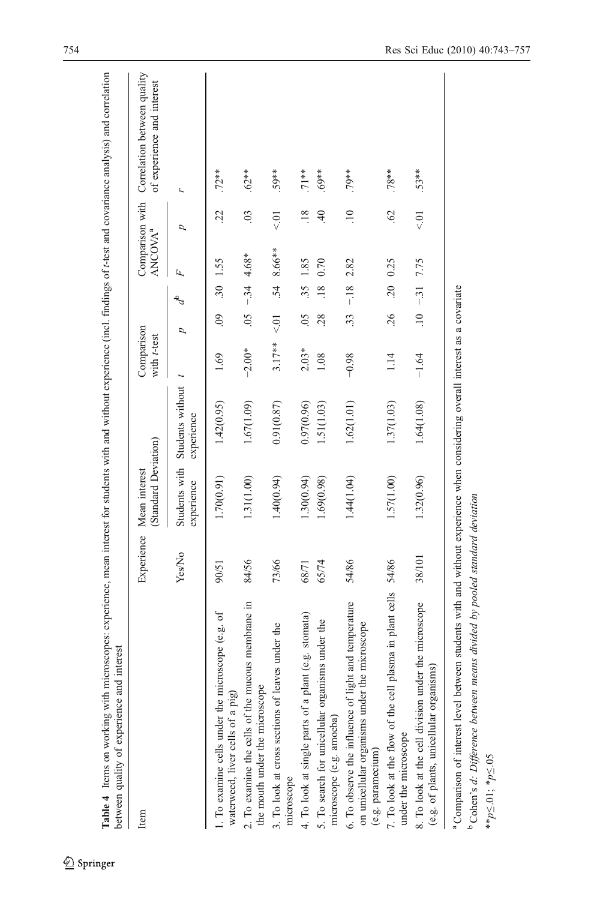| Item                                                                                                                                    | Experience | (Standard Deviation)<br>Mean interest |                                | Comparison<br>with t-test |                 |                | Comparison with<br>ANCOVA <sup>ª</sup> |                     | Correlation between quality<br>of experience and interest |
|-----------------------------------------------------------------------------------------------------------------------------------------|------------|---------------------------------------|--------------------------------|---------------------------|-----------------|----------------|----------------------------------------|---------------------|-----------------------------------------------------------|
|                                                                                                                                         | Yes/No     | Students with<br>experience           | Students without<br>experience |                           |                 | of             |                                        | p                   | r                                                         |
| . To examine cells under the microscope (e.g. of<br>waterweed, liver cells of a pig)                                                    | 90/51      | 1.70(0.91)                            | 1.42(0.95)                     | 1.69                      | 60              |                | $.30$ 1.55                             | 22                  | $.72***$                                                  |
| 2. To examine the cells of the mucous membrane in<br>the mouth under the microscope                                                     | 84/56      | 1.31(1.00)                            | 1.67(1.09)                     | $-2.00*$                  | 05              | $-.34$ 4.68*   |                                        | $\ddot{\mathrm{C}}$ | $.62**$                                                   |
| 3. To look at cross sections of leaves under the<br>microscope                                                                          | 73/66      | 1.40(0.94)                            | 0.91(0.87)                     | $3.17**$                  | $\leq$ .01      |                | $.548.66***$                           | $\frac{1}{2}$       | $59**$                                                    |
| 4. To look at single parts of a plant (e.g. stomata)                                                                                    | 68/71      | 1.30(0.94)                            | 0.97(0.96)                     | $2.03*$                   | $\rm 05$        | 35.            | 1.85                                   | .18                 | $.71**$                                                   |
| 5. To search for unicellular organisms under the<br>microscope (e.g. amoeba)                                                            | 65/74      | 1.69(0.98)                            | 1.51(1.03)                     | 1.08                      | 28              | $\frac{8}{18}$ | 0.70                                   | $\overline{4}$      | $.69**$                                                   |
| and temperature<br>microscope<br>6. To observe the influence of light<br>on unicellular organisms under the<br>(e.g. paramecium)        | 54/86      | 1.44(1.04)                            | 1.62(1.01)                     | $-0.98$                   | 33              | $-18$          | 2.82                                   | $\Xi$               | **64.                                                     |
| 7. To look at the flow of the cell plasma in plant cells<br>under the microscope                                                        | 54/86      | 1.57(1.00)                            | 1.37(1.03)                     | 1.14                      | 26              | $\ddot{5}$     | 0.25                                   | 62                  | $*887$                                                    |
| 8. To look at the cell division under the microscope<br>(e.g. of plants, unicellular organisms)                                         | 38/101     | 1.32(0.96)                            | 1.64(1.08)                     | $-1.64$                   | $\overline{10}$ | $-31$ 7.75     |                                        | $\overline{0}$      | $.53**$                                                   |
| <sup>a</sup> Comparison of interest level between students with and without experience when considering overall interest as a covariate |            |                                       |                                |                           |                 |                |                                        |                     |                                                           |

<span id="page-11-0"></span>

Table 4 Items on working with microscopes: experience, mean interest for students with and without experience (incl. findings of r-test and covariance analysis) and correlation Table 4 Items on working with microscopes: experience, mean interest for students with and without experience (incl. findings of t-test and covariance analysis) and correlation

\*\*p≤.01; \*p≤.05

\*\* $p \le 0.01$ ; \* $p \le 0.05$ 

b Cohen's d: Difference between means divided by pooled standard deviation

<sup>b</sup> Cohen's d: Difference between means divided by pooled standard deviation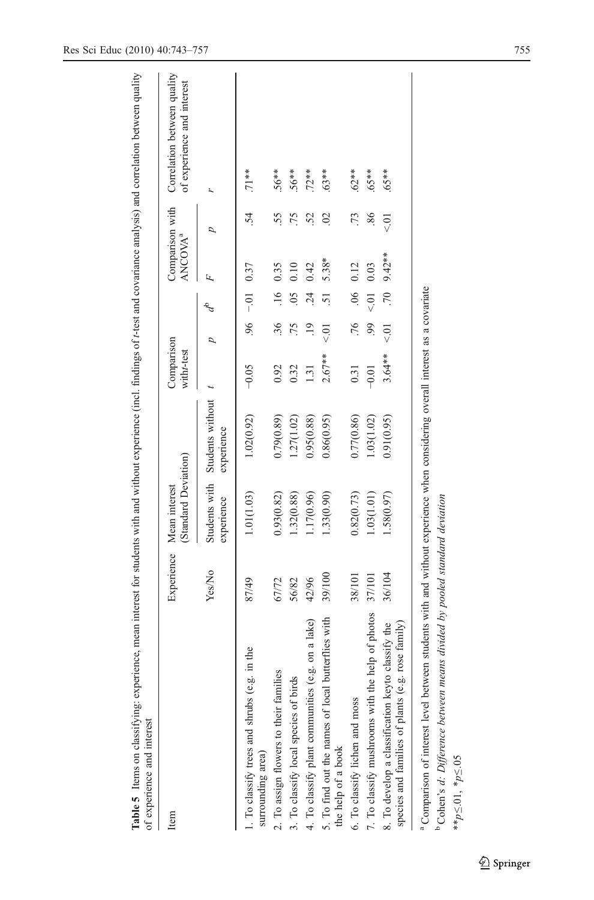| Item                                                                                                         | Experience | (Standard Deviation)<br>Mean interest |                                | Comparison<br>witht-test |                  |                | Comparison with<br>ANCOVA <sup>ª</sup> |                  | Correlation between quality<br>of experience and interest |
|--------------------------------------------------------------------------------------------------------------|------------|---------------------------------------|--------------------------------|--------------------------|------------------|----------------|----------------------------------------|------------------|-----------------------------------------------------------|
|                                                                                                              | Yes/No     | Students with<br>experience           | Students without<br>experience |                          |                  |                |                                        | ₽                |                                                           |
| $\frac{1}{2}$ in the<br>. To classify trees and shrubs (e.g.<br>surrounding area)                            | 87/49      | 1.01(1.03)                            | 1.02(0.92)                     | $-0.05$                  |                  | $-0.01$ 0.37   |                                        | $\overline{54}$  | $.71**$                                                   |
| 2. To assign flowers to their families                                                                       | 67/72      | 0.93(0.82)                            | 0.79(0.89)                     | 0.92                     | 36               | $\frac{16}{1}$ | 0.35                                   | 55               | $.56**$                                                   |
| 3. To classify local species of birds                                                                        | 56/82      | 1.32(0.88)                            | 1.27(1.02)                     | 0.32                     | 75               | $\rm 05$       | 0.10                                   | .75              | $.56**$                                                   |
| 4. To classify plant communities (e.g. on a lake)                                                            | 42/96      | .17(0.96)                             | 0.95(0.88)                     | $\overline{13}$          |                  |                | 0.42                                   | 52               | $.72***$                                                  |
| 5. To find out the names of local butterflies with<br>the help of a book                                     | 39/100     | 1.33(0.90)                            | 0.86(0.95)                     | $2.67**$                 | ιο<br>⊽          | ij             | 5.38*                                  | S                | $.63**$                                                   |
| 6. To classify lichen and moss                                                                               | 38/101     | 0.82(0.73)                            | 0.77(0.86)                     | 0.31                     | .76              | 06             | 0.12                                   | 73.              | $.62**$                                                   |
| 7. To classify mushrooms with the help of photos                                                             | 37/101     | 0.03(1.01)                            | 1.03(1.02)                     | $-0.01$                  | 99               | $\leq$ .01     | 0.03                                   | 86.              | $.65**$                                                   |
| rose family)<br>classify the<br>8. To develop a classification keyto<br>species and families of plants (e.g. | 36/104     | (.8(0.97)                             | 0.91(0.95)                     | $3.64***$                | $\sum_{i=1}^{n}$ | $\overline{0}$ | $9.42**$                               | $\sum_{i=1}^{n}$ | $.65**$                                                   |

<span id="page-12-0"></span>Res Sci Educ (2010) 40:743-757 755

\*\* $p \leq .01$ , \* $p \leq .05$ 

\*\* $p \le 0.01$ , \* $p \le 0.05$ 

b Cohen's d: Difference between means divided by pooled standard deviation

<sup>b</sup> Cohen's d: Difference between means divided by pooled standard deviation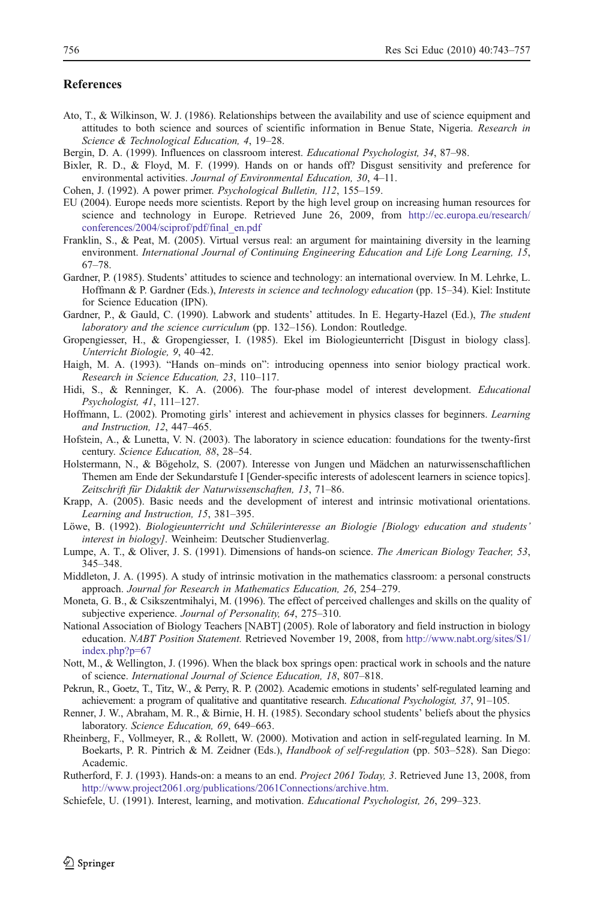#### <span id="page-13-0"></span>**References**

- Ato, T., & Wilkinson, W. J. (1986). Relationships between the availability and use of science equipment and attitudes to both science and sources of scientific information in Benue State, Nigeria. Research in Science & Technological Education, 4, 19–28.
- Bergin, D. A. (1999). Influences on classroom interest. Educational Psychologist, 34, 87–98.
- Bixler, R. D., & Floyd, M. F. (1999). Hands on or hands off? Disgust sensitivity and preference for environmental activities. Journal of Environmental Education, 30, 4–11.
- Cohen, J. (1992). A power primer. Psychological Bulletin, 112, 155–159.
- EU (2004). Europe needs more scientists. Report by the high level group on increasing human resources for science and technology in Europe. Retrieved June 26, 2009, from [http://ec.europa.eu/research/](http://ec.europa.eu/research/conferences/2004/sciprof/pdf/final_en.pdf) [conferences/2004/sciprof/pdf/final\\_en.pdf](http://ec.europa.eu/research/conferences/2004/sciprof/pdf/final_en.pdf)
- Franklin, S., & Peat, M. (2005). Virtual versus real: an argument for maintaining diversity in the learning environment. International Journal of Continuing Engineering Education and Life Long Learning, 15, 67–78.
- Gardner, P. (1985). Students' attitudes to science and technology: an international overview. In M. Lehrke, L. Hoffmann & P. Gardner (Eds.), Interests in science and technology education (pp. 15–34). Kiel: Institute for Science Education (IPN).
- Gardner, P., & Gauld, C. (1990). Labwork and students' attitudes. In E. Hegarty-Hazel (Ed.), The student laboratory and the science curriculum (pp. 132–156). London: Routledge.
- Gropengiesser, H., & Gropengiesser, I. (1985). Ekel im Biologieunterricht [Disgust in biology class]. Unterricht Biologie, 9, 40–42.
- Haigh, M. A. (1993). "Hands on–minds on": introducing openness into senior biology practical work. Research in Science Education, 23, 110–117.
- Hidi, S., & Renninger, K. A. (2006). The four-phase model of interest development. *Educational* Psychologist, 41, 111–127.
- Hoffmann, L. (2002). Promoting girls' interest and achievement in physics classes for beginners. Learning and Instruction, 12, 447–465.
- Hofstein, A., & Lunetta, V. N. (2003). The laboratory in science education: foundations for the twenty-first century. Science Education, 88, 28–54.
- Holstermann, N., & Bögeholz, S. (2007). Interesse von Jungen und Mädchen an naturwissenschaftlichen Themen am Ende der Sekundarstufe I [Gender-specific interests of adolescent learners in science topics]. Zeitschrift für Didaktik der Naturwissenschaften, 13, 71–86.
- Krapp, A. (2005). Basic needs and the development of interest and intrinsic motivational orientations. Learning and Instruction, 15, 381–395.
- Löwe, B. (1992). Biologieunterricht und Schülerinteresse an Biologie [Biology education and students' interest in biology]. Weinheim: Deutscher Studienverlag.
- Lumpe, A. T., & Oliver, J. S. (1991). Dimensions of hands-on science. The American Biology Teacher, 53, 345–348.
- Middleton, J. A. (1995). A study of intrinsic motivation in the mathematics classroom: a personal constructs approach. Journal for Research in Mathematics Education, 26, 254–279.
- Moneta, G. B., & Csikszentmihalyi, M. (1996). The effect of perceived challenges and skills on the quality of subjective experience. Journal of Personality, 64, 275–310.
- National Association of Biology Teachers [NABT] (2005). Role of laboratory and field instruction in biology education. NABT Position Statement. Retrieved November 19, 2008, from [http://www.nabt.org/sites/S1/](http://www.nabt.org/sites/S1/index.php?p=67) [index.php?p=67](http://www.nabt.org/sites/S1/index.php?p=67)
- Nott, M., & Wellington, J. (1996). When the black box springs open: practical work in schools and the nature of science. International Journal of Science Education, 18, 807–818.
- Pekrun, R., Goetz, T., Titz, W., & Perry, R. P. (2002). Academic emotions in students' self-regulated learning and achievement: a program of qualitative and quantitative research. *Educational Psychologist*, 37, 91–105.
- Renner, J. W., Abraham, M. R., & Birnie, H. H. (1985). Secondary school students' beliefs about the physics laboratory. Science Education, 69, 649–663.
- Rheinberg, F., Vollmeyer, R., & Rollett, W. (2000). Motivation and action in self-regulated learning. In M. Boekarts, P. R. Pintrich & M. Zeidner (Eds.), Handbook of self-regulation (pp. 503–528). San Diego: Academic.
- Rutherford, F. J. (1993). Hands-on: a means to an end. *Project 2061 Today, 3*. Retrieved June 13, 2008, from [http://www.project2061.org/publications/2061Connections/archive.htm.](http://www.project2061.org/publications/2061Connections/archive.htm)
- Schiefele, U. (1991). Interest, learning, and motivation. Educational Psychologist, 26, 299–323.